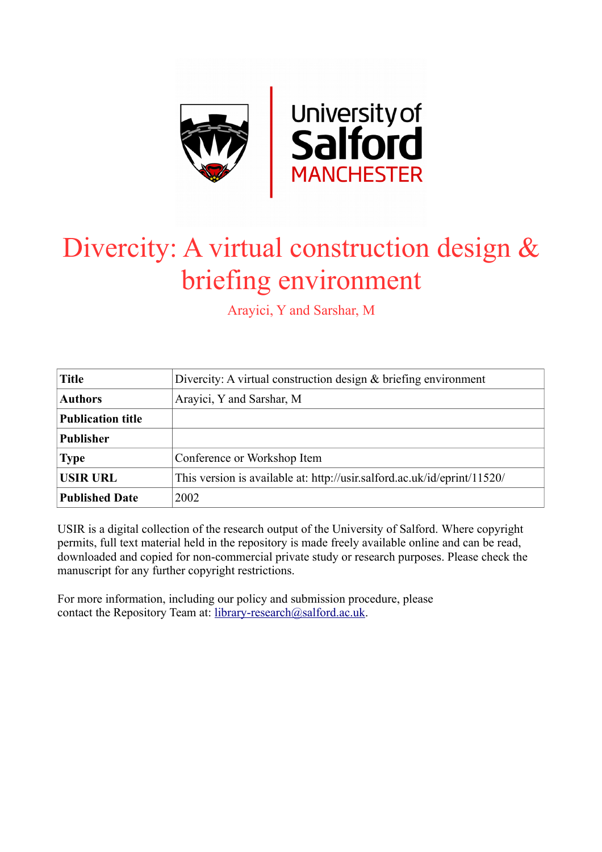

# Divercity: A virtual construction design & briefing environment

Arayici, Y and Sarshar, M

| <b>Title</b>             | Divercity: A virtual construction design $\&$ briefing environment       |
|--------------------------|--------------------------------------------------------------------------|
| <b>Authors</b>           | Arayici, Y and Sarshar, M                                                |
| <b>Publication title</b> |                                                                          |
| <b>Publisher</b>         |                                                                          |
| <b>Type</b>              | Conference or Workshop Item                                              |
| <b>USIR URL</b>          | This version is available at: http://usir.salford.ac.uk/id/eprint/11520/ |
| <b>Published Date</b>    | 2002                                                                     |

USIR is a digital collection of the research output of the University of Salford. Where copyright permits, full text material held in the repository is made freely available online and can be read, downloaded and copied for non-commercial private study or research purposes. Please check the manuscript for any further copyright restrictions.

For more information, including our policy and submission procedure, please contact the Repository Team at: [library-research@salford.ac.uk.](mailto:library-research@salford.ac.uk)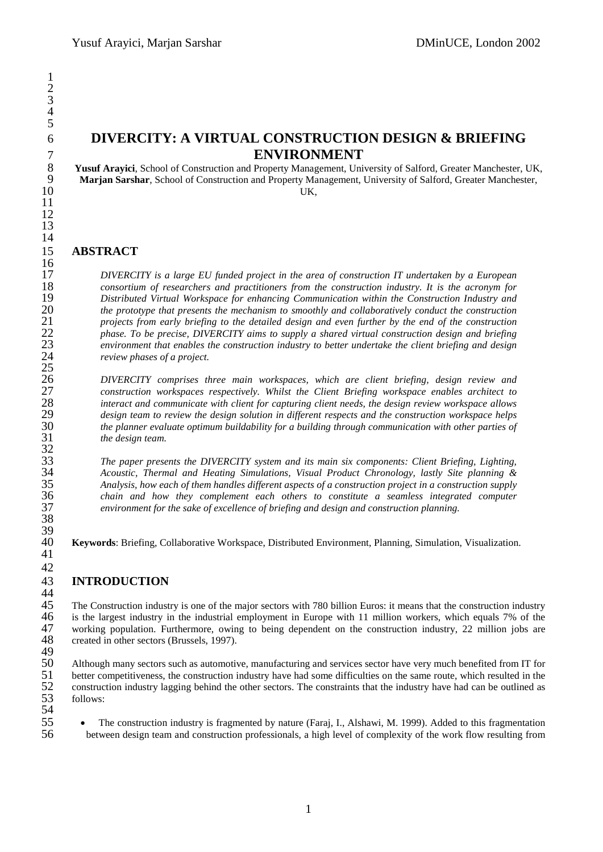# **DIVERCITY: A VIRTUAL CONSTRUCTION DESIGN & BRIEFING**

7<br>**ENVIRONMENT**<br>8<br>**Targin Sarshar**, School of Construction and Property Management, Uni<br>9<br>**Marjan Sarshar**, School of Construction and Property Management, **Yusuf Arayici**, School of Construction and Property Management, University of Salford, Greater Manchester, UK, 9 **Marjan Sarshar**, School of Construction and Property Management, University of Salford, Greater Manchester, 10<br>UK, UK,

## **ABSTRACT**

 *DIVERCITY is a large EU funded project in the area of construction IT undertaken by a European consortium of researchers and practitioners from the construction industry. It is the acronym for Distributed Virtual Workspace for enhancing Communication within the Construction Industry and the prototype that presents the mechanism to smoothly and collaboratively conduct the construction projects from early briefing to the detailed design and even further by the end of the construction phase. To be precise, DIVERCITY aims to supply a shared virtual construction design and briefing environment that enab phase. To be precise, DIVERCITY aims to supply a shared virtual construction design and briefing environment that enables the construction industry to better undertake the client briefing and design review phases of a project.* 

 *DIVERCITY comprises three main workspaces, which are client briefing, design review and construction workspaces respectively. Whilst the Client Briefing workspace enables architect to interact and communicate with client for capturing client needs, the design review workspace allows design team to review the design solution in different respects and the construction workspace helps the planner evaluate optimum buildability for a building through communication with other parties of the design team.*

 *The paper presents the DIVERCITY system and its main six components: Client Briefing, Lighting, Acoustic, Thermal and Heating Simulations, Visual Product Chronology, lastly Site planning & Analysis, how each of them handles different aspects of a construction project in a construction supply chain and how they complement each others to constitute a seamless integrated computer environment for the sake of excellence of briefing and design and construction planning.*

**Keywords**: Briefing, Collaborative Workspace, Distributed Environment, Planning, Simulation, Visualization.

## **INTRODUCTION**

45 The Construction industry is one of the major sectors with 780 billion Euros: it means that the construction industry<br>46 is the largest industry in the industrial employment in Europe with 11 million workers, which equa 46 is the largest industry in the industrial employment in Europe with 11 million workers, which equals 7% of the 47 working population. Furthermore, owing to being dependent on the construction industry, 22 million jobs a 47 working population. Furthermore, owing to being dependent on the construction industry, 22 million jobs are created in other sectors (Brussels, 1997). created in other sectors (Brussels, 1997).

50 Although many sectors such as automotive, manufacturing and services sector have very much benefited from IT for<br>51 better competitiveness, the construction industry have had some difficulties on the same route, which r 51 better competitiveness, the construction industry have had some difficulties on the same route, which resulted in the construction industry lagging behind the other sectors. The constraints that the industry have had ca construction industry lagging behind the other sectors. The constraints that the industry have had can be outlined as follows:

55 • The construction industry is fragmented by nature (Faraj, I., Alshawi, M. 1999). Added to this fragmentation 56 between design team and construction professionals, a high level of complexity of the work flow resulting between design team and construction professionals, a high level of complexity of the work flow resulting from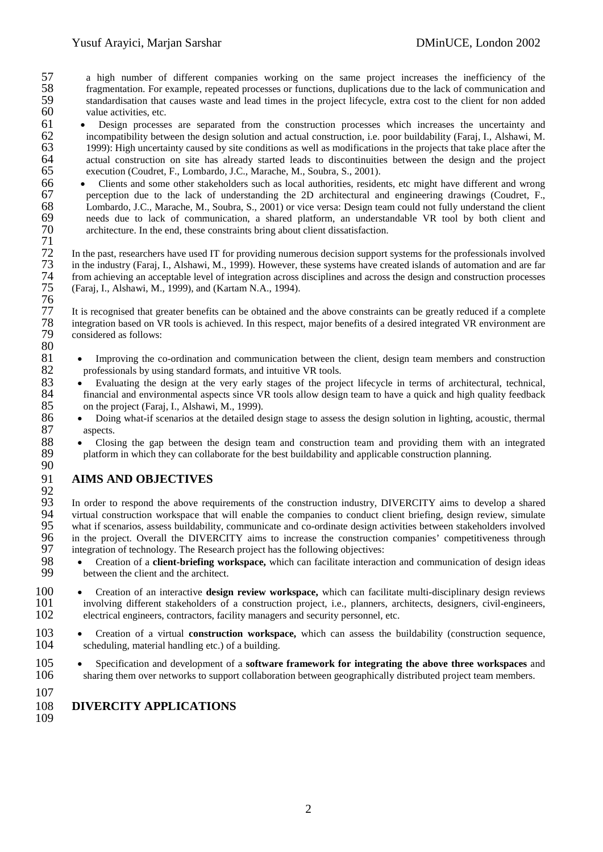57 a high number of different companies working on the same project increases the inefficiency of the fragmentation. For example, repeated processes or functions, duplications due to the lack of communication and 58 fragmentation. For example, repeated processes or functions, duplications due to the lack of communication and<br>59 standardisation that causes waste and lead times in the project lifecycle, extra cost to the client for n 59 standardisation that causes waste and lead times in the project lifecycle, extra cost to the client for non added value activities, etc. value activities, etc.

61 • Design processes are separated from the construction processes which increases the uncertainty and incompatibility between the design solution and actual construction, i.e. poor buildability (Faraj, I., Alshawi, M. 62 incompatibility between the design solution and actual construction, i.e. poor buildability (Faraj, I., Alshawi, M. 63 1999): High uncertainty caused by site conditions as well as modifications in the projects that take 63 1999): High uncertainty caused by site conditions as well as modifications in the projects that take place after the 64 actual construction on site has already started leads to discontinuities between the design and the project execution (Coudret, F., Lombardo, J.C., Marache, M., Soubra, S., 2001). 65 execution (Coudret, F., Lombardo, J.C., Marache, M., Soubra, S., 2001).<br>66 • Clients and some other stakeholders such as local authorities, resident

• Clients and some other stakeholders such as local authorities, residents, etc might have different and wrong<br>67 • erception due to the lack of understanding the 2D architectural and engineering drawings (Coudret, F., 67 perception due to the lack of understanding the 2D architectural and engineering drawings (Coudret, F., 68 Lombardo, J.C., Marache, M., Soubra, S., 2001) or vice versa: Design team could not fully understand the client 68 Lombardo, J.C., Marache, M., Soubra, S., 2001) or vice versa: Design team could not fully understand the client 69 needs due to lack of communication, a shared platform, an understandable VR tool by both client and architecture. In the end, these constraints bring about client dissatisfaction. architecture. In the end, these constraints bring about client dissatisfaction.

 $\begin{array}{c} 71 \\ 72 \\ 73 \end{array}$ In the past, researchers have used IT for providing numerous decision support systems for the professionals involved 73 in the industry (Faraj, I., Alshawi, M., 1999). However, these systems have created islands of automation and are far<br>74 from achieving an acceptable level of integration across disciplines and across the design and con 74 from achieving an acceptable level of integration across disciplines and across the design and construction processes (Faraj, I., Alshawi, M., 1999), and (Kartam N.A., 1994). (Faraj, I., Alshawi, M., 1999), and (Kartam N.A., 1994).

77 It is recognised that greater benefits can be obtained and the above constraints can be greatly reduced if a complete integration based on VR tools is achieved. In this respect, major benefits of a desired integrated VR 78 integration based on VR tools is achieved. In this respect, major benefits of a desired integrated VR environment are considered as follows:

- 81 Improving the co-ordination and communication between the client, design team members and construction professionals by using standard formats, and intuitive VR tools. 82 professionals by using standard formats, and intuitive VR tools.<br>83 • Evaluating the design at the very early stages of the proje
- 83 Evaluating the design at the very early stages of the project lifecycle in terms of architectural, technical, 84 financial and environmental aspects since VR tools allow design team to have a quick and high quality fe 84 financial and environmental aspects since VR tools allow design team to have a quick and high quality feedback<br>85 on the project (Faraj, I., Alshawi, M., 1999). 85 on the project (Faraj, I., Alshawi, M., 1999).<br>86 • Doing what-if scenarios at the detailed de
- 86 Doing what-if scenarios at the detailed design stage to assess the design solution in lighting, acoustic, thermal aspects. 87 aspects.<br>88 · Closi
- 88 Closing the gap between the design team and construction team and providing them with an integrated platform in which they can collaborate for the best buildability and applicable construction planning. 89 platform in which they can collaborate for the best buildability and applicable construction planning.

## 91 **AIMS AND OBJECTIVES**

92<br>93 93 In order to respond the above requirements of the construction industry, DIVERCITY aims to develop a shared<br>94 virtual construction workspace that will enable the companies to conduct client briefing, design review, sim 94 virtual construction workspace that will enable the companies to conduct client briefing, design review, simulate<br>95 what if scenarios, assess buildability, communicate and co-ordinate design activities between stakehol 95 what if scenarios, assess buildability, communicate and co-ordinate design activities between stakeholders involved<br>96 in the project. Overall the DIVERCITY aims to increase the construction companies' competitiveness t 96 in the project. Overall the DIVERCITY aims to increase the construction companies' competitiveness through integration of technology. The Research project has the following objectives: 97 integration of technology. The Research project has the following objectives:<br>98 • Creation of a **client-briefing workspace**, which can facilitate interaction

- 98 Creation of a **client-briefing workspace,** which can facilitate interaction and communication of design ideas between the client and the architect.
- 100 Creation of an interactive **design review workspace**, which can facilitate multi-disciplinary design reviews 101 involving different stakeholders of a construction project, i.e., planners, architects, designers, civi 101 involving different stakeholders of a construction project, i.e., planners, architects, designers, civil-engineers, electrical engineers, contractors, facility managers and security personnel, etc. electrical engineers, contractors, facility managers and security personnel, etc.
- **103** Creation of a virtual **construction workspace**, which can assess the buildability (construction sequence, 104 scheduling, material handling etc.) of a building. scheduling, material handling etc.) of a building.
- **105** Specification and development of a **software framework for integrating the above three workspaces** and sharing them over networks to support collaboration between geographically distributed project team members. sharing them over networks to support collaboration between geographically distributed project team members.
- 107

76<br>77

 $\begin{array}{c} 80 \\ 81 \end{array}$ 

90

## 108 **DIVERCITY APPLICATIONS**

109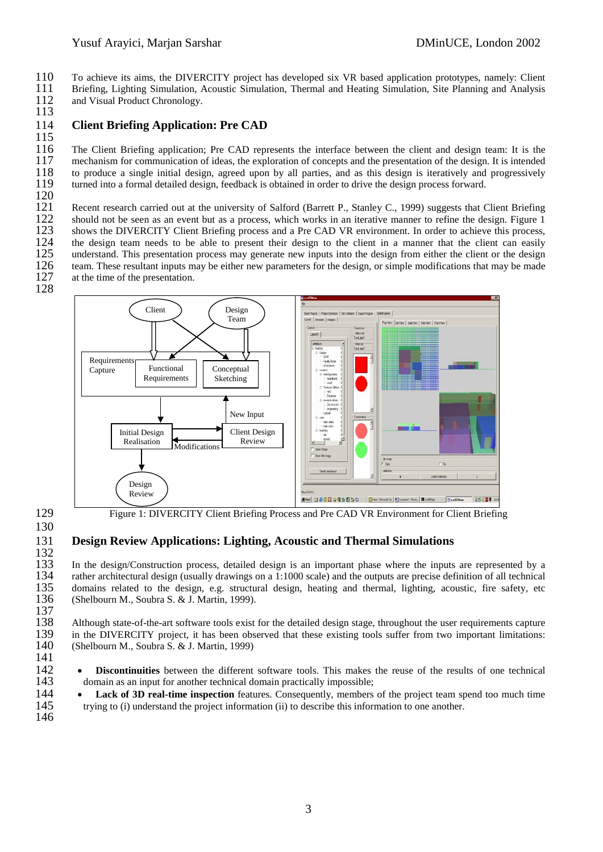110 To achieve its aims, the DIVERCITY project has developed six VR based application prototypes, namely: Client 111 Briefing, Lighting Simulation, Acoustic Simulation, Thermal and Heating Simulation, Site Planning and Ana 111 Briefing, Lighting Simulation, Acoustic Simulation, Thermal and Heating Simulation, Site Planning and Analysis and Visual Product Chronology. and Visual Product Chronology.

## 114 **Client Briefing Application: Pre CAD**

 $\frac{115}{116}$ 116 The Client Briefing application; Pre CAD represents the interface between the client and design team: It is the mechanism for communication of ideas, the exploration of concepts and the presentation of the design. It i 117 mechanism for communication of ideas, the exploration of concepts and the presentation of the design. It is intended<br>118 to produce a single initial design, agreed upon by all parties, and as this design is iteratively 118 to produce a single initial design, agreed upon by all parties, and as this design is iteratively and progressively turned into a formal detailed design. feedback is obtained in order to drive the design process forwar turned into a formal detailed design, feedback is obtained in order to drive the design process forward.

 $\frac{120}{121}$ 121 Recent research carried out at the university of Salford (Barrett P., Stanley C., 1999) suggests that Client Briefing<br>122 should not be seen as an event but as a process, which works in an iterative manner to refine th 122 should not be seen as an event but as a process, which works in an iterative manner to refine the design. Figure 1<br>123 shows the DIVERCITY Client Briefing process and a Pre CAD VR environment. In order to achieve this 123 shows the DIVERCITY Client Briefing process and a Pre CAD VR environment. In order to achieve this process,<br>124 the design team needs to be able to present their design to the client in a manner that the client can eas 124 the design team needs to be able to present their design to the client in a manner that the client can easily<br>125 understand. This presentation process may generate new inputs into the design from either the client or 125 understand. This presentation process may generate new inputs into the design from either the client or the design team. These resultant inputs may be either new parameters for the design, or simple modifications that 126 team. These resultant inputs may be either new parameters for the design, or simple modifications that may be made at the time of the presentation. at the time of the presentation. 128



## 130

113

129 Figure 1: DIVERCITY Client Briefing Process and Pre CAD VR Environment for Client Briefing

#### 131 **Design Review Applications: Lighting, Acoustic and Thermal Simulations**

 $\frac{132}{133}$ 133 In the design/Construction process, detailed design is an important phase where the inputs are represented by a<br>134 rather architectural design (usually drawings on a 1:1000 scale) and the outputs are precise definitio 134 rather architectural design (usually drawings on a 1:1000 scale) and the outputs are precise definition of all technical<br>135 domains related to the design, e.g. structural design, heating and thermal, lighting, acousti 135 domains related to the design, e.g. structural design, heating and thermal, lighting, acoustic, fire safety, etc (Shelbourn M., Soubra S. & J. Martin, 1999). (Shelbourn M., Soubra S. & J. Martin, 1999).

 $\frac{137}{138}$ 138 Although state-of-the-art software tools exist for the detailed design stage, throughout the user requirements capture in the DIVERCITY project, it has been observed that these existing tools suffer from two important 139 in the DIVERCITY project, it has been observed that these existing tools suffer from two important limitations:<br>140 (Shelbourn M., Soubra S. & J. Martin, 1999) (Shelbourn M., Soubra S. & J. Martin, 1999) 141

- **Discontinuities** between the different software tools. This makes the reuse of the results of one technical 143 domain as an input for another technical domain practically impossible:
- 143 domain as an input for another technical domain practically impossible;<br>144  **Lack of 3D real-time inspection** features. Consequently, members **144** • **Lack of 3D real-time inspection** features. Consequently, members of the project team spend too much time trying to (i) understand the project information (ii) to describe this information to one another. 145 trying to (i) understand the project information (ii) to describe this information to one another.

146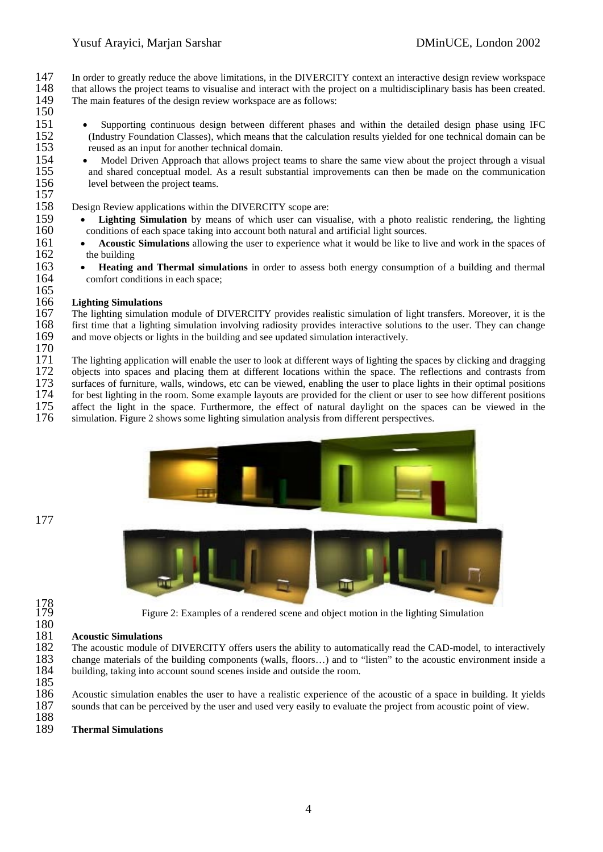147 In order to greatly reduce the above limitations, in the DIVERCITY context an interactive design review workspace that allows the project teams to visualise and interact with the project on a multidisciplinary basis ha that allows the project teams to visualise and interact with the project on a multidisciplinary basis has been created.<br>149 The main features of the design review workspace are as follows: The main features of the design review workspace are as follows:

 $\frac{150}{151}$ 

 $\frac{157}{158}$ 

- <sup>151</sup> Supporting continuous design between different phases and within the detailed design phase using IFC<br><sup>152</sup> (Industry Foundation Classes), which means that the calculation results vielded for one technical domain ca 152 (Industry Foundation Classes), which means that the calculation results yielded for one technical domain can be reused as an input for another technical domain. 153 reused as an input for another technical domain.<br>154 • Model Driven Approach that allows project
- **•** Model Driven Approach that allows project teams to share the same view about the project through a visual and shared conceptual model. As a result substantial improvements can then be made on the communication 155 and shared conceptual model. As a result substantial improvements can then be made on the communication level between the project teams. level between the project teams.

158 Design Review applications within the DIVERCITY scope are:<br>159 • Lighting Simulation by means of which user can visu

- **Lighting Simulation** by means of which user can visualise, with a photo realistic rendering, the lighting conditions of each space taking into account both natural and artificial light sources.
- 160 conditions of each space taking into account both natural and artificial light sources.<br>161 Acoustic Simulations allowing the user to experience what it would be like to li **161** • **Acoustic Simulations** allowing the user to experience what it would be like to live and work in the spaces of the building the building
- **163 Heating and Thermal simulations** in order to assess both energy consumption of a building and thermal comfort conditions in each space; comfort conditions in each space;

## 165<br>166

166 **Lighting Simulations** 167 The lighting simulation module of DIVERCITY provides realistic simulation of light transfers. Moreover, it is the first time that a lighting simulation involving radiosity provides interactive solutions to the user. Th 168 first time that a lighting simulation involving radiosity provides interactive solutions to the user. They can change and move objects or lights in the building and see updated simulation interactively. and move objects or lights in the building and see updated simulation interactively.

170

171 The lighting application will enable the user to look at different ways of lighting the spaces by clicking and dragging<br>172 objects into spaces and placing them at different locations within the space. The reflections 172 objects into spaces and placing them at different locations within the space. The reflections and contrasts from<br>173 surfaces of furniture, walls, windows, etc can be viewed, enabling the user to place lights in their 173 surfaces of furniture, walls, windows, etc can be viewed, enabling the user to place lights in their optimal positions for best lighting in the room. Some example layouts are provided for the client or user to see how 174 for best lighting in the room. Some example layouts are provided for the client or user to see how different positions affect the light in the space. Furthermore, the effect of natural daylight on the spaces can be vie 175 affect the light in the space. Furthermore, the effect of natural daylight on the spaces can be viewed in the simulation. Figure 2 shows some lighting simulation analysis from different perspectives. simulation. Figure 2 shows some lighting simulation analysis from different perspectives.



177



Figure 2: Examples of a rendered scene and object motion in the lighting Simulation

## 180<br>181

181 **Acoustic Simulations** 182 The acoustic module of DIVERCITY offers users the ability to automatically read the CAD-model, to interactively<br>183 change materials of the building components (walls, floors...) and to "listen" to the acoustic environ 183 change materials of the building components (walls, floors...) and to "listen" to the acoustic environment inside a 184 building, taking into account sound scenes inside and outside the room. building, taking into account sound scenes inside and outside the room.

185<br>186

186 Acoustic simulation enables the user to have a realistic experience of the acoustic of a space in building. It yields sounds that can be perceived by the user and used very easily to evaluate the project from acoustic sounds that can be perceived by the user and used very easily to evaluate the project from acoustic point of view.

#### 188<br>189 **Thermal Simulations**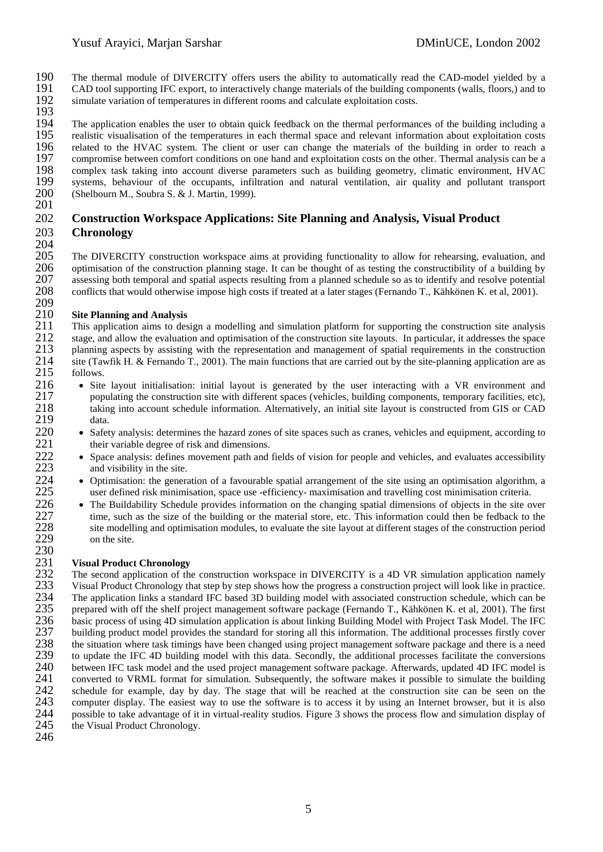190 The thermal module of DIVERCITY offers users the ability to automatically read the CAD-model yielded by a<br>191 CAD tool supporting IFC export, to interactively change materials of the building components (walls, floors, 191 CAD tool supporting IFC export, to interactively change materials of the building components (walls, floors,) and to simulate variation of temperatures in different rooms and calculate exploitation costs. simulate variation of temperatures in different rooms and calculate exploitation costs.

193<br>194 194 The application enables the user to obtain quick feedback on the thermal performances of the building including a<br>195 ealistic visualisation of the temperatures in each thermal space and relevant information about expl 195 realistic visualisation of the temperatures in each thermal space and relevant information about exploitation costs 196 related to the HVAC system. The client or user can change the materials of the building in order t 196 related to the HVAC system. The client or user can change the materials of the building in order to reach a<br>197 compromise between comfort conditions on one hand and exploitation costs on the other. Thermal analysis ca 197 compromise between comfort conditions on one hand and exploitation costs on the other. Thermal analysis can be a<br>198 complex task taking into account diverse parameters such as building geometry, climatic environment, 198 complex task taking into account diverse parameters such as building geometry, climatic environment, HVAC<br>199 systems, behaviour of the occupants, infiltration and natural ventilation, air quality and pollutant transpo 199 systems, behaviour of the occupants, infiltration and natural ventilation, air quality and pollutant transport (Shelbourn M., Soubra S. & J. Martin, 1999). (Shelbourn M., Soubra S. & J. Martin, 1999).

#### 201<br>202 202 **Construction Workspace Applications: Site Planning and Analysis, Visual Product**  203 **Chronology**

204 205 The DIVERCITY construction workspace aims at providing functionality to allow for rehearsing, evaluation, and optimisation of the construction planning stage. It can be thought of as testing the constructibility of a b 206 optimisation of the construction planning stage. It can be thought of as testing the constructibility of a building by<br>207 assessing both temporal and spatial aspects resulting from a planned schedule so as to identify 207 assessing both temporal and spatial aspects resulting from a planned schedule so as to identify and resolve potential<br>208 conflicts that would otherwise impose high costs if treated at a later stages (Fernando T., Kähk 208 conflicts that would otherwise impose high costs if treated at a later stages (Fernando T., Kähkönen K. et al, 2001).

## 209

210 **Site Planning and Analysis** 211 This application aims to design a modelling and simulation platform for supporting the construction site analysis stage, and allow the evaluation and optimisation of the construction site layouts. In particular, it add 212 stage, and allow the evaluation and optimisation of the construction site layouts. In particular, it addresses the space<br>213 planning aspects by assisting with the representation and management of spatial requirements 213 planning aspects by assisting with the representation and management of spatial requirements in the construction  $214$  site (Tawfik H. & Fernando T., 2001). The main functions that are carried out by the site-planning 214 site (Tawfik H. & Fernando T., 2001). The main functions that are carried out by the site-planning application are as follows. 215 follows.<br>216 • Site

- Site layout initialisation: initial layout is generated by the user interacting with a VR environment and populating the construction site with different spaces (vehicles, building components, temporary facilities, etc), 217 populating the construction site with different spaces (vehicles, building components, temporary facilities, etc),<br>218 taking into account schedule information. Alternatively, an initial site layout is constructed from 218 taking into account schedule information. Alternatively, an initial site layout is constructed from GIS or CAD 219 data.<br>220 • Safet
- <sup>220</sup> Safety analysis: determines the hazard zones of site spaces such as cranes, vehicles and equipment, according to their variable degree of risk and dimensions. 221 their variable degree of risk and dimensions.<br>222  $\bullet$  Space analysis: defines movement path and
- <sup>222</sup> Space analysis: defines movement path and fields of vision for people and vehicles, and evaluates accessibility and visibility in the site. and visibility in the site.
- Optimisation: the generation of a favourable spatial arrangement of the site using an optimisation algorithm, a user defined risk minimisation, space use -efficiency- maximisation and travelling cost minimisation criteri 225 user defined risk minimisation, space use -efficiency- maximisation and travelling cost minimisation criteria.<br>226 • The Buildability Schedule provides information on the changing spatial dimensions of objects in the s
- <sup>226</sup> The Buildability Schedule provides information on the changing spatial dimensions of objects in the site over<br><sup>227</sup> ime, such as the size of the building or the material store, etc. This information could then be f 227 time, such as the size of the building or the material store, etc. This information could then be fedback to the site modelling and optimisation modules, to evaluate the site layout at different stages of the construct 228 site modelling and optimisation modules, to evaluate the site layout at different stages of the construction period on the site. on the site.

230 231 **Visual Product Chronology**<br>232 The second application of the 232 The second application of the construction workspace in DIVERCITY is a 4D VR simulation application namely<br>233 Visual Product Chronology that step by step shows how the progress a construction project will look like in 233 Visual Product Chronology that step by step shows how the progress a construction project will look like in practice. 234 The application links a standard IFC based 3D building model with associated construction schedule, which can be prepared with off the shelf project management software package (Fernando T., Kähkönen K. et al. 2001). T 235 prepared with off the shelf project management software package (Fernando T., Kähkönen K. et al, 2001). The first 236 basic process of using 4D simulation application is about linking Building Model with Project Task M 236 basic process of using 4D simulation application is about linking Building Model with Project Task Model. The IFC<br>237 building product model provides the standard for storing all this information. The additional proces 237 building product model provides the standard for storing all this information. The additional processes firstly cover<br>238 the situation where task timings have been changed using project management software package and 238 the situation where task timings have been changed using project management software package and there is a need<br>239 to update the IFC 4D building model with this data. Secondly, the additional processes facilitate the 239 to update the IFC 4D building model with this data. Secondly, the additional processes facilitate the conversions 240 between IFC task model and the used project management software package. Afterwards, updated 4D IFC 240 between IFC task model and the used project management software package. Afterwards, updated 4D IFC model is converted to VRML format for simulation. Subsequently, the software makes it possible to simulate the buildin 241 converted to VRML format for simulation. Subsequently, the software makes it possible to simulate the building<br>242 schedule for example, day by day. The stage that will be reached at the construction site can be seen o 242 schedule for example, day by day. The stage that will be reached at the construction site can be seen on the 243 computer display. The easiest way to use the software is to access it by using an Internet browser, but i 243 computer display. The easiest way to use the software is to access it by using an Internet browser, but it is also<br>244 possible to take advantage of it in virtual-reality studios. Figure 3 shows the process flow and si 244 possible to take advantage of it in virtual-reality studios. Figure 3 shows the process flow and simulation display of the Visual Product Chronology. the Visual Product Chronology.

246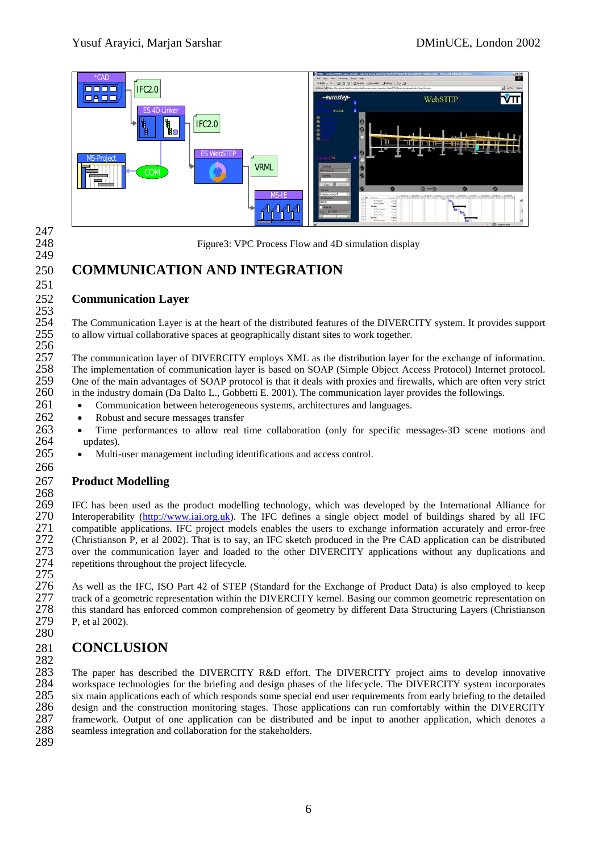

Figure3: VPC Process Flow and 4D simulation display

## 250 **COMMUNICATION AND INTEGRATION**

## 252 **Communication Layer**

254 The Communication Layer is at the heart of the distributed features of the DIVERCITY system. It provides support to allow virtual collaborative spaces at geographically distant sites to work together. 255 to allow virtual collaborative spaces at geographically distant sites to work together.

257 The communication layer of DIVERCITY employs XML as the distribution layer for the exchange of information.<br>258 The implementation of communication layer is based on SOAP (Simple Object Access Protocol) Internet protoc 258 The implementation of communication layer is based on SOAP (Simple Object Access Protocol) Internet protocol.<br>259 One of the main advantages of SOAP protocol is that it deals with proxies and firewalls, which are often 259 One of the main advantages of SOAP protocol is that it deals with proxies and firewalls, which are often very strict in the industry domain (Da Dalto L., Gobbetti E. 2001). The communication layer provides the followin 260 in the industry domain (Da Dalto L., Gobbetti E. 2001). The communication layer provides the followings.<br>261 • Communication between heterogeneous systems, architectures and languages.

- 261 Communication between heterogeneous systems, architectures and languages.
- 262 Robust and secure messages transfer<br>263 Time performances to allow real t
- <sup>263</sup> Time performances to allow real time collaboration (only for specific messages-3D scene motions and 264 updates).
- 265 Multi-user management including identifications and access control.

## 267 **Product Modelling**

269 IFC has been used as the product modelling technology, which was developed by the International Alliance for 270 Interoperability (http://www.jai.org.uk). The IFC defines a single object model of buildings shared by al 270 Interoperability [\(http://www.iai.org.uk\)](http://www.iai.org.uk/). The IFC defines a single object model of buildings shared by all IFC compatible applications. IFC project models enables the users to exchange information accurately and error-

271 compatible applications. IFC project models enables the users to exchange information accurately and error-free<br>272 (Christianson P. et al. 2002). That is to say, an IFC sketch produced in the Pre CAD application can b 272 (Christianson P, et al 2002). That is to say, an IFC sketch produced in the Pre CAD application can be distributed over the communication layer and loaded to the other DIVERCITY applications without any duplications an 273 over the communication layer and loaded to the other DIVERCITY applications without any duplications and repetitions throughout the project lifecycle. repetitions throughout the project lifecycle.

276 As well as the IFC, ISO Part 42 of STEP (Standard for the Exchange of Product Data) is also employed to keep<br>277 track of a geometric representation within the DIVERCITY kernel. Basing our common geometric representati 277 track of a geometric representation within the DIVERCITY kernel. Basing our common geometric representation on<br>278 this standard has enforced common comprehension of geometry by different Data Structuring Layers (Chris 278 this standard has enforced common comprehension of geometry by different Data Structuring Layers (Christianson 279 P, et al 2002). P, et al 2002).

## 281 **CONCLUSION**

283 The paper has described the DIVERCITY R&D effort. The DIVERCITY project aims to develop innovative 284 workspace technologies for the briefing and design phases of the lifecycle. The DIVERCITY system incorporates 285 six main applications each of which responds some special end user requirements from early briefing to t 285 six main applications each of which responds some special end user requirements from early briefing to the detailed design and the construction monitoring stages. Those applications can run comfortably within the DIVER 286 design and the construction monitoring stages. Those applications can run comfortably within the DIVERCITY<br>287 framework. Output of one application can be distributed and be input to another application, which denotes 287 framework. Output of one application can be distributed and be input to another application, which denotes a seamless integration and collaboration for the stakeholders. seamless integration and collaboration for the stakeholders. 289